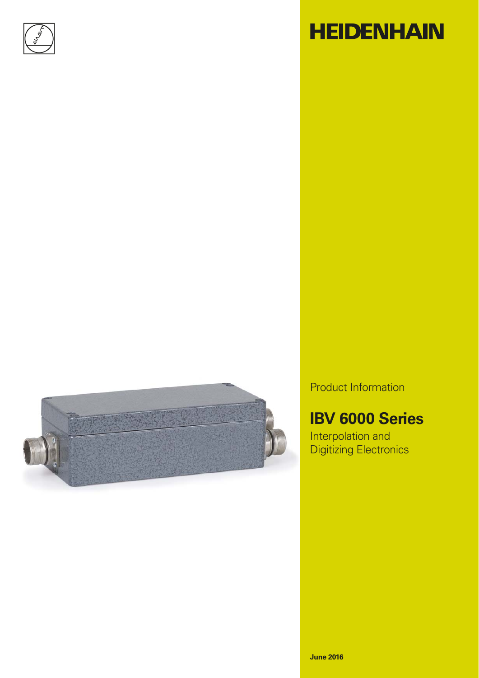

# **HEIDENHAIN**



Product Information

# **IBV 6000 Series**

Interpolation and Digitizing Electronics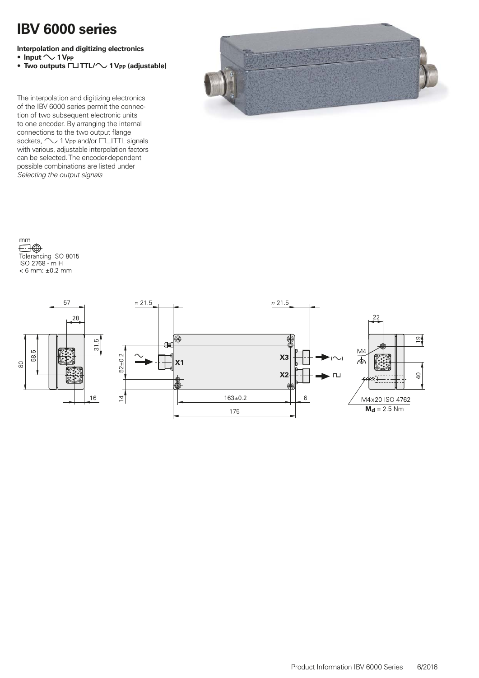### **IBV 6000 series**

**Interpolation and digitizing electronics**

- $Input \sim 1$  V<sub>PP</sub>
- Two outputs  $\Box$  **TTL/** $\sim$  1 V<sub>PP</sub> (adjustable)

The interpolation and digitizing electronics of the IBV 6000 series permit the connection of two subsequent electronic units to one encoder. By arranging the internal connections to the two output flange sockets,  $\sim$  1 V<sub>PP</sub> and/or  $\textrm{TITL}$  signals with various, adjustable interpolation factors can be selected. The encoder-dependent possible combinations are listed under *Selecting the output signals*



mm  $\boxdot \oplus$ Tolerancing ISO 8015<br>ISO 2768 - m H  $< 6$  mm:  $\pm 0.2$  mm

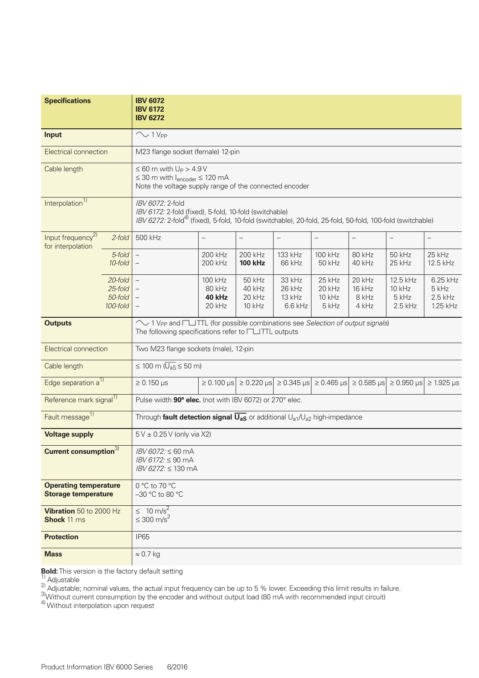| <b>Specifications</b>                                           | <b>IBV 6072</b><br><b>IBV 6172</b><br><b>IBV 6272</b>                                                                                                                                                |                                                                                                                                       |                                                                                                          |                                         |                                            |                                           |                                          |                                            |  |  |  |
|-----------------------------------------------------------------|------------------------------------------------------------------------------------------------------------------------------------------------------------------------------------------------------|---------------------------------------------------------------------------------------------------------------------------------------|----------------------------------------------------------------------------------------------------------|-----------------------------------------|--------------------------------------------|-------------------------------------------|------------------------------------------|--------------------------------------------|--|--|--|
| <b>Input</b>                                                    | $\sim$ 1 V <sub>PP</sub>                                                                                                                                                                             |                                                                                                                                       |                                                                                                          |                                         |                                            |                                           |                                          |                                            |  |  |  |
| Electrical connection                                           |                                                                                                                                                                                                      | M23 flange socket (female) 12-pin                                                                                                     |                                                                                                          |                                         |                                            |                                           |                                          |                                            |  |  |  |
| Cable length                                                    |                                                                                                                                                                                                      | $\leq 60$ m with $U_P > 4.9V$<br>$\leq$ 30 m with $I_{encoder} \leq 120$ mA<br>Note the voltage supply range of the connected encoder |                                                                                                          |                                         |                                            |                                           |                                          |                                            |  |  |  |
| Interpolation <sup>1)</sup>                                     | IBV 6072: 2-fold<br>IBV 6172: 2-fold (fixed), 5-fold, 10-fold (switchable)<br>IBV 6272: 2-fold <sup>4)</sup> (fixed), 5-fold, 10-fold (switchable), 20-fold, 25-fold, 50-fold, 100-fold (switchable) |                                                                                                                                       |                                                                                                          |                                         |                                            |                                           |                                          |                                            |  |  |  |
| Input frequency <sup>2)</sup><br>$2$ -fold<br>for interpolation | 500 kHz                                                                                                                                                                                              | $\qquad \qquad -$                                                                                                                     | $\qquad \qquad -$                                                                                        | $\overline{\phantom{m}}$                | $\overline{\phantom{0}}$                   | $\overline{\phantom{0}}$                  | $\qquad \qquad -$                        | $\overline{\phantom{0}}$                   |  |  |  |
| 5-fold<br>10-fold                                               | $\overline{\phantom{m}}$                                                                                                                                                                             | 200 kHz<br>200 kHz                                                                                                                    | 200 kHz<br><b>100 kHz</b>                                                                                | 133 kHz<br>66 kHz                       | 100 kHz<br>50 kHz                          | 80 kHz<br>40 kHz                          | 50 kHz<br>25 kHz                         | 25 kHz<br>12.5 kHz                         |  |  |  |
| 20-fold<br>25-fold<br>50-fold<br>100-fold                       |                                                                                                                                                                                                      | 100 kHz<br>80 kHz<br>40 kHz<br><b>20 kHz</b>                                                                                          | 50 kHz<br>40 kHz<br>20 kHz<br><b>10 kHz</b>                                                              | 33 kHz<br>26 kHz<br>13 kHz<br>$6.6$ kHz | 25 kHz<br>20 kHz<br><b>10 kHz</b><br>5 kHz | 20 kHz<br><b>16 kHz</b><br>8 kHz<br>4 kHz | 12.5 kHz<br>10 kHz<br>5 kHz<br>$2.5$ kHz | 6.25 kHz<br>5 kHz<br>$2.5$ kHz<br>1.25 kHz |  |  |  |
| <b>Outputs</b>                                                  | ◯ 1 V <sub>PP</sub> and □ TTL (for possible combinations see Selection of output signals)<br>The following specifications refer to <b>FLITTL</b> outputs                                             |                                                                                                                                       |                                                                                                          |                                         |                                            |                                           |                                          |                                            |  |  |  |
| <b>Electrical connection</b>                                    | Two M23 flange sockets (male), 12-pin                                                                                                                                                                |                                                                                                                                       |                                                                                                          |                                         |                                            |                                           |                                          |                                            |  |  |  |
| Cable length                                                    | $\leq 100$ m ( $\overline{U_{aS}} \leq 50$ m)                                                                                                                                                        |                                                                                                                                       |                                                                                                          |                                         |                                            |                                           |                                          |                                            |  |  |  |
| Edge separation a <sup>1)</sup>                                 | $\geq 0.150$ µs                                                                                                                                                                                      |                                                                                                                                       | $\ge$ 0.100 μs $\ge$ 0.220 μs $\ge$ 0.345 μs $\ge$ 0.465 μs $\ge$ 0.585 μs $\ge$ 0.950 μs $\ge$ 1.925 μs |                                         |                                            |                                           |                                          |                                            |  |  |  |
| Reference mark signal <sup>1)</sup>                             | Pulse width 90° elec. (not with IBV 6072) or 270° elec.                                                                                                                                              |                                                                                                                                       |                                                                                                          |                                         |                                            |                                           |                                          |                                            |  |  |  |
| Fault message <sup>1)</sup>                                     | Through fault detection signal $\overline{U_{aS}}$ or additional $U_{a1}/U_{a2}$ high-impedance                                                                                                      |                                                                                                                                       |                                                                                                          |                                         |                                            |                                           |                                          |                                            |  |  |  |
| <b>Voltage supply</b>                                           | 5 V ± 0.25 V (only via X2)                                                                                                                                                                           |                                                                                                                                       |                                                                                                          |                                         |                                            |                                           |                                          |                                            |  |  |  |
| <b>Current consumption</b> <sup>3</sup>                         | <i>IBV 6072:</i> ≤ 60 mA<br><i>IBV 6172:</i> ≤ 90 mA<br>IBV 6272: ≤ 130 mA                                                                                                                           |                                                                                                                                       |                                                                                                          |                                         |                                            |                                           |                                          |                                            |  |  |  |
| <b>Operating temperature</b><br><b>Storage temperature</b>      | 0 °C to 70 °C<br>-30 °C to 80 °C                                                                                                                                                                     |                                                                                                                                       |                                                                                                          |                                         |                                            |                                           |                                          |                                            |  |  |  |
| Vibration 50 to 2000 Hz<br><b>Shock 11 ms</b>                   | $\leq 10 \text{ m/s}^2$<br>$\leq 300 \text{ m/s}^2$                                                                                                                                                  |                                                                                                                                       |                                                                                                          |                                         |                                            |                                           |                                          |                                            |  |  |  |
| <b>Protection</b>                                               | <b>IP65</b>                                                                                                                                                                                          |                                                                                                                                       |                                                                                                          |                                         |                                            |                                           |                                          |                                            |  |  |  |
| <b>Mass</b>                                                     | $\approx 0.7$ kg                                                                                                                                                                                     |                                                                                                                                       |                                                                                                          |                                         |                                            |                                           |                                          |                                            |  |  |  |

**Bold:** This version is the factory default setting<br><sup>1)</sup> Adjustable

 $^{2)}$  Adjustable; nominal values, the actual input frequency can be up to 5 % lower. Exceeding this limit results in failure.

 $3$ Without current consumption by the encoder and without output load (80 mA with recommended input circuit)

<sup>4)</sup> Without interpolation upon request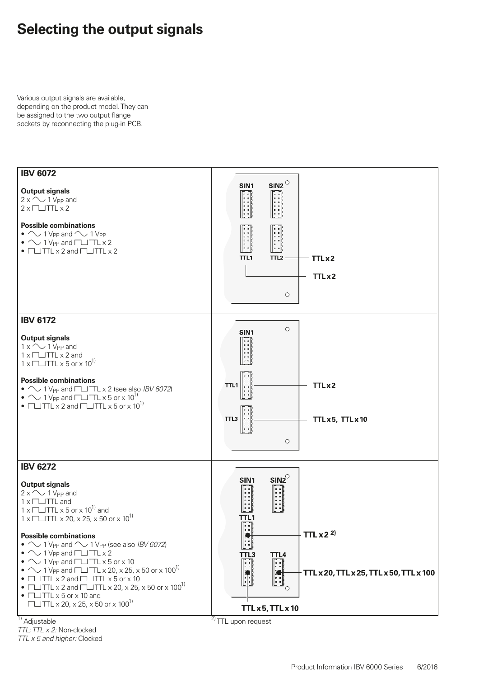### **Selecting the output signals**

Various output signals are available, depending on the product model. They can be assigned to the two output flange sockets by reconnecting the plug-in PCB.



 $\overline{1)}$  Adjustable *TTL; TTL x 2:* Non-clocked

*TTL x 5 and higher:* Clocked

 $2$ TTL upon request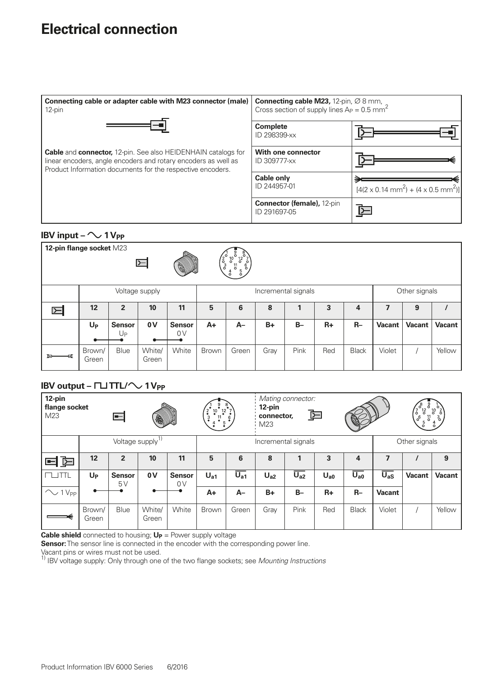### **Electrical connection**

| Connecting cable or adapter cable with M23 connector (male)<br>12-pin                                                                                                                                       | <b>Connecting cable M23,</b> 12-pin, $\varnothing$ 8 mm,<br>Cross section of supply lines $Ap = 0.5$ mm <sup>2</sup> |                                                                 |  |  |  |  |  |
|-------------------------------------------------------------------------------------------------------------------------------------------------------------------------------------------------------------|----------------------------------------------------------------------------------------------------------------------|-----------------------------------------------------------------|--|--|--|--|--|
|                                                                                                                                                                                                             | <b>Complete</b><br>ID 298399-xx                                                                                      |                                                                 |  |  |  |  |  |
| <b>Cable</b> and <b>connector,</b> 12-pin. See also HEIDENHAIN catalogs for<br>linear encoders, angle encoders and rotary encoders as well as<br>Product Information documents for the respective encoders. | With one connector<br>ID 309777-xx                                                                                   |                                                                 |  |  |  |  |  |
|                                                                                                                                                                                                             | <b>Cable only</b><br>ID 244957-01                                                                                    | $[4(2 \times 0.14 \text{ mm}^2) + (4 \times 0.5 \text{ mm}^2)]$ |  |  |  |  |  |
|                                                                                                                                                                                                             | <b>Connector (female), 12-pin</b><br>ID 291697-05                                                                    |                                                                 |  |  |  |  |  |

### **IBV input –**  $\sim$  **1 V<sub>PP</sub>**

| 12-pin flange socket M23<br>$\begin{pmatrix} 2 & 3 \\ 3 & 3 \end{pmatrix}$<br>$\sqrt{10}$ <sup>o</sup><br>$\begin{pmatrix} 1 & 0 & 0 \\ 0 & 1 & 0 \\ 0 & 0 & 0 \\ 0 & 0 & 0 \end{pmatrix}$<br>匞<br>Coll<br>$_{\rm o}^4$ |                 |                     |                 |                     |                     |       |      |              |      |              |               |               |               |
|-------------------------------------------------------------------------------------------------------------------------------------------------------------------------------------------------------------------------|-----------------|---------------------|-----------------|---------------------|---------------------|-------|------|--------------|------|--------------|---------------|---------------|---------------|
| Voltage supply                                                                                                                                                                                                          |                 |                     |                 |                     | Incremental signals |       |      |              |      |              | Other signals |               |               |
| $\boxdot$                                                                                                                                                                                                               | 12              | $\overline{2}$      | 10              | 11                  | 5                   | 6     | 8    | $\mathbf{1}$ | 3    | 4            | 7             | 9             |               |
|                                                                                                                                                                                                                         | $U_{P}$         | <b>Sensor</b><br>Up | 0V              | <b>Sensor</b><br>0V | A+                  | $A-$  | $B+$ | $B -$        | $R+$ | $R-$         | <b>Vacant</b> | <b>Vacant</b> | <b>Vacant</b> |
| b-<br>ø                                                                                                                                                                                                                 | Brown/<br>Green | Blue                | White/<br>Green | White               | Brown               | Green | Gray | Pink         | Red  | <b>Black</b> | Violet        |               | Yellow        |

### **IBV output –**  $\Gamma\Box$  **TTL/** $\sim$  **1 V<sub>PP</sub>**

| 12-pin<br>flange socket<br>M23<br>$\equiv$<br><b>AU</b> |                              |                     |                 | $rac{2}{3}$<br>$\frac{10}{2}$<br>11 | Mating connector:<br>്<br>12-pin<br>$\frac{12}{9}$<br>空<br>connector,<br>$\frac{6}{9}$<br><b>Por</b><br>$\frac{5}{9}$<br>M23 |                                      |                 |                     |          |                     | ്<br>$\circ$<br>$\frac{10}{6}$<br>12<br>$\zeta$<br>7<br>$\rm _2^{11}$<br>$\frac{3}{6}$<br>$\sigma$<br>$\frac{5}{0}$ |               |               |
|---------------------------------------------------------|------------------------------|---------------------|-----------------|-------------------------------------|------------------------------------------------------------------------------------------------------------------------------|--------------------------------------|-----------------|---------------------|----------|---------------------|---------------------------------------------------------------------------------------------------------------------|---------------|---------------|
|                                                         | Voltage supply <sup>1)</sup> |                     |                 |                                     |                                                                                                                              | Incremental signals<br>Other signals |                 |                     |          |                     |                                                                                                                     |               |               |
| ロ回                                                      | 12                           | $\overline{2}$      | 10              | 11                                  | 5                                                                                                                            | 6                                    | 8               | 1                   | 3        | 4                   | 7                                                                                                                   |               | 9             |
| <b>TTL</b><br>$\Box$                                    | $U_{P}$                      | <b>Sensor</b><br>5V | 0V              | <b>Sensor</b><br>0V                 | U <sub>a1</sub>                                                                                                              | $\overline{U_{a1}}$                  | U <sub>a2</sub> | $\overline{U_{a2}}$ | $U_{a0}$ | $\overline{U_{a0}}$ | $\overline{U_{aS}}$                                                                                                 | <b>Vacant</b> | <b>Vacant</b> |
| $\sim$ 1 V <sub>PP</sub>                                |                              |                     |                 |                                     | $A+$                                                                                                                         | $A-$                                 | $B+$            | $B -$               | $R+$     | $R-$                | <b>Vacant</b>                                                                                                       |               |               |
|                                                         | Brown/<br>Green              | Blue                | White/<br>Green | White                               | Brown                                                                                                                        | Green                                | Gray            | Pink                | Red      | <b>Black</b>        | Violet                                                                                                              |               | Yellow        |

**Cable shield** connected to housing; **U<sub>P</sub>** = Power supply voltage

**Sensor:** The sensor line is connected in the encoder with the corresponding power line.

Vacant pins or wires must not be used.<br><sup>1)</sup> IBV voltage supply: Only through one of the two flange sockets; see *Mounting Instructions*